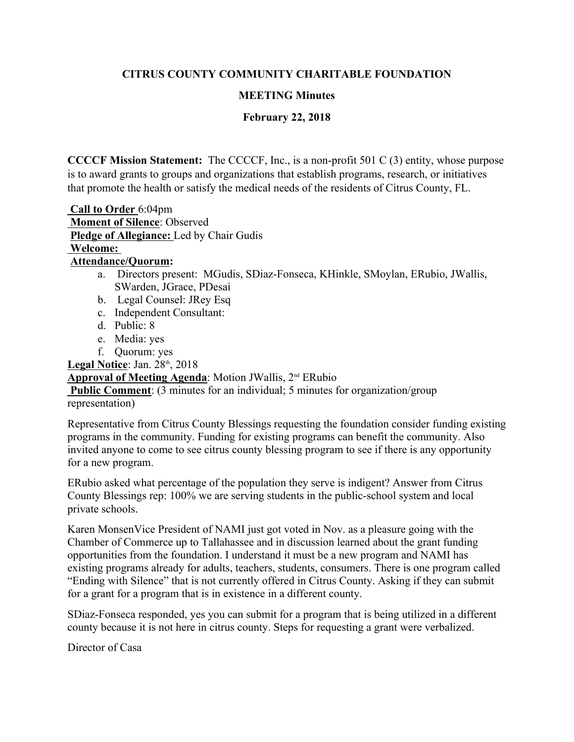# **CITRUS COUNTY COMMUNITY CHARITABLE FOUNDATION**

### **MEETING Minutes**

# **February 22, 2018**

 **CCCCF Mission Statement:** The CCCCF, Inc., is a non-profit 501 C (3) entity, whose purpose is to award grants to groups and organizations that establish programs, research, or initiatives that promote the health or satisfy the medical needs of the residents of Citrus County, FL.

**Call to Order** 6:04pm **Moment of Silence**: Observed **Pledge of Allegiance:** Led by Chair Gudis **Welcome: Attendance/Quorum:** 

- a. Directors present: MGudis, SDiaz-Fonseca, KHinkle, SMoylan, ERubio, JWallis, SWarden, JGrace, PDesai
- b. Legal Counsel: JRey Esq
- c. Independent Consultant:
- d. Public: 8
- e. Media: yes
- f. Quorum: yes

**Legal Notice**: Jan. 28<sup>th</sup>, 2018 Approval of Meeting Agenda: Motion JWallis, 2<sup>nd</sup> ERubio **Public Comment:** (3 minutes for an individual; 5 minutes for organization/group representation)

Representative from Citrus County Blessings requesting the foundation consider funding existing programs in the community. Funding for existing programs can benefit the community. Also invited anyone to come to see citrus county blessing program to see if there is any opportunity for a new program.

ERubio asked what percentage of the population they serve is indigent? Answer from Citrus County Blessings rep: 100% we are serving students in the public-school system and local private schools.

Karen MonsenVice President of NAMI just got voted in Nov. as a pleasure going with the Chamber of Commerce up to Tallahassee and in discussion learned about the grant funding opportunities from the foundation. I understand it must be a new program and NAMI has existing programs already for adults, teachers, students, consumers. There is one program called "Ending with Silence" that is not currently offered in Citrus County. Asking if they can submit for a grant for a program that is in existence in a different county.

SDiaz-Fonseca responded, yes you can submit for a program that is being utilized in a different county because it is not here in citrus county. Steps for requesting a grant were verbalized.

Director of Casa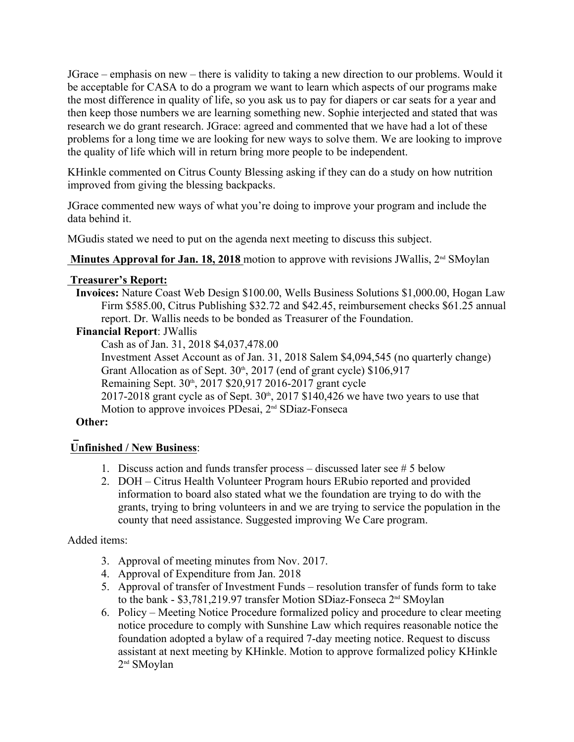JGrace – emphasis on new – there is validity to taking a new direction to our problems. Would it be acceptable for CASA to do a program we want to learn which aspects of our programs make the most difference in quality of life, so you ask us to pay for diapers or car seats for a year and then keep those numbers we are learning something new. Sophie interjected and stated that was research we do grant research. JGrace: agreed and commented that we have had a lot of these problems for a long time we are looking for new ways to solve them. We are looking to improve the quality of life which will in return bring more people to be independent.

KHinkle commented on Citrus County Blessing asking if they can do a study on how nutrition improved from giving the blessing backpacks.

JGrace commented new ways of what you're doing to improve your program and include the data behind it.

MGudis stated we need to put on the agenda next meeting to discuss this subject.

**Minutes Approval for Jan. 18, 2018** motion to approve with revisions JWallis, 2<sup>nd</sup> SMoylan

#### **Treasurer's Report:**

 **Invoices:** Nature Coast Web Design \$100.00, Wells Business Solutions \$1,000.00, Hogan Law Firm \$585.00, Citrus Publishing \$32.72 and \$42.45, reimbursement checks \$61.25 annual report. Dr. Wallis needs to be bonded as Treasurer of the Foundation.

#### **Financial Report**: JWallis

Cash as of Jan. 31, 2018 \$4,037,478.00

Investment Asset Account as of Jan. 31, 2018 Salem \$4,094,545 (no quarterly change) Grant Allocation as of Sept.  $30<sup>th</sup>$ ,  $2017$  (end of grant cycle) \$106,917 Remaining Sept. 30th, 2017 \$20,917 2016-2017 grant cycle

2017-2018 grant cycle as of Sept.  $30<sup>th</sup>$ , 2017 \$140,426 we have two years to use that Motion to approve invoices PDesai, 2<sup>nd</sup> SDiaz-Fonseca

### **Other:**

### **Unfinished / New Business**:

- 1. Discuss action and funds transfer process discussed later see # 5 below
- 2. DOH Citrus Health Volunteer Program hours ERubio reported and provided information to board also stated what we the foundation are trying to do with the grants, trying to bring volunteers in and we are trying to service the population in the county that need assistance. Suggested improving We Care program.

### Added items:

- 3. Approval of meeting minutes from Nov. 2017.
- 4. Approval of Expenditure from Jan. 2018
- 5. Approval of transfer of Investment Funds resolution transfer of funds form to take to the bank - \$3,781,219.97 transfer Motion SDiaz-Fonseca 2nd SMoylan
- 6. Policy Meeting Notice Procedure formalized policy and procedure to clear meeting notice procedure to comply with Sunshine Law which requires reasonable notice the foundation adopted a bylaw of a required 7-day meeting notice. Request to discuss assistant at next meeting by KHinkle. Motion to approve formalized policy KHinkle 2 nd SMoylan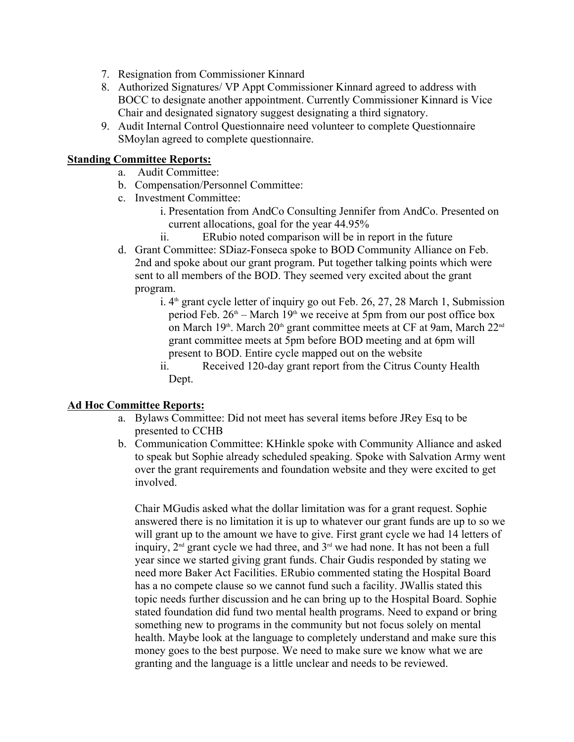- 7. Resignation from Commissioner Kinnard
- 8. Authorized Signatures/ VP Appt Commissioner Kinnard agreed to address with BOCC to designate another appointment. Currently Commissioner Kinnard is Vice Chair and designated signatory suggest designating a third signatory.
- 9. Audit Internal Control Questionnaire need volunteer to complete Questionnaire SMoylan agreed to complete questionnaire.

#### **Standing Committee Reports:**

- a. Audit Committee:
- b. Compensation/Personnel Committee:
- c. Investment Committee:
	- i. Presentation from AndCo Consulting Jennifer from AndCo. Presented on current allocations, goal for the year 44.95%
	- ii. ERubio noted comparison will be in report in the future
- d. Grant Committee: SDiaz-Fonseca spoke to BOD Community Alliance on Feb. 2nd and spoke about our grant program. Put together talking points which were sent to all members of the BOD. They seemed very excited about the grant program.
	- i. 4 th grant cycle letter of inquiry go out Feb. 26, 27, 28 March 1, Submission period Feb.  $26<sup>th</sup>$  – March 19<sup>th</sup> we receive at 5pm from our post office box on March 19<sup>th</sup>. March 20<sup>th</sup> grant committee meets at CF at 9am, March 22<sup>nd</sup> grant committee meets at 5pm before BOD meeting and at 6pm will present to BOD. Entire cycle mapped out on the website
	- ii. Received 120-day grant report from the Citrus County Health Dept.

### **Ad Hoc Committee Reports:**

- a. Bylaws Committee: Did not meet has several items before JRey Esq to be presented to CCHB
- b. Communication Committee: KHinkle spoke with Community Alliance and asked to speak but Sophie already scheduled speaking. Spoke with Salvation Army went over the grant requirements and foundation website and they were excited to get involved.

Chair MGudis asked what the dollar limitation was for a grant request. Sophie answered there is no limitation it is up to whatever our grant funds are up to so we will grant up to the amount we have to give. First grant cycle we had 14 letters of inquiry,  $2<sup>nd</sup>$  grant cycle we had three, and  $3<sup>rd</sup>$  we had none. It has not been a full year since we started giving grant funds. Chair Gudis responded by stating we need more Baker Act Facilities. ERubio commented stating the Hospital Board has a no compete clause so we cannot fund such a facility. JWallis stated this topic needs further discussion and he can bring up to the Hospital Board. Sophie stated foundation did fund two mental health programs. Need to expand or bring something new to programs in the community but not focus solely on mental health. Maybe look at the language to completely understand and make sure this money goes to the best purpose. We need to make sure we know what we are granting and the language is a little unclear and needs to be reviewed.